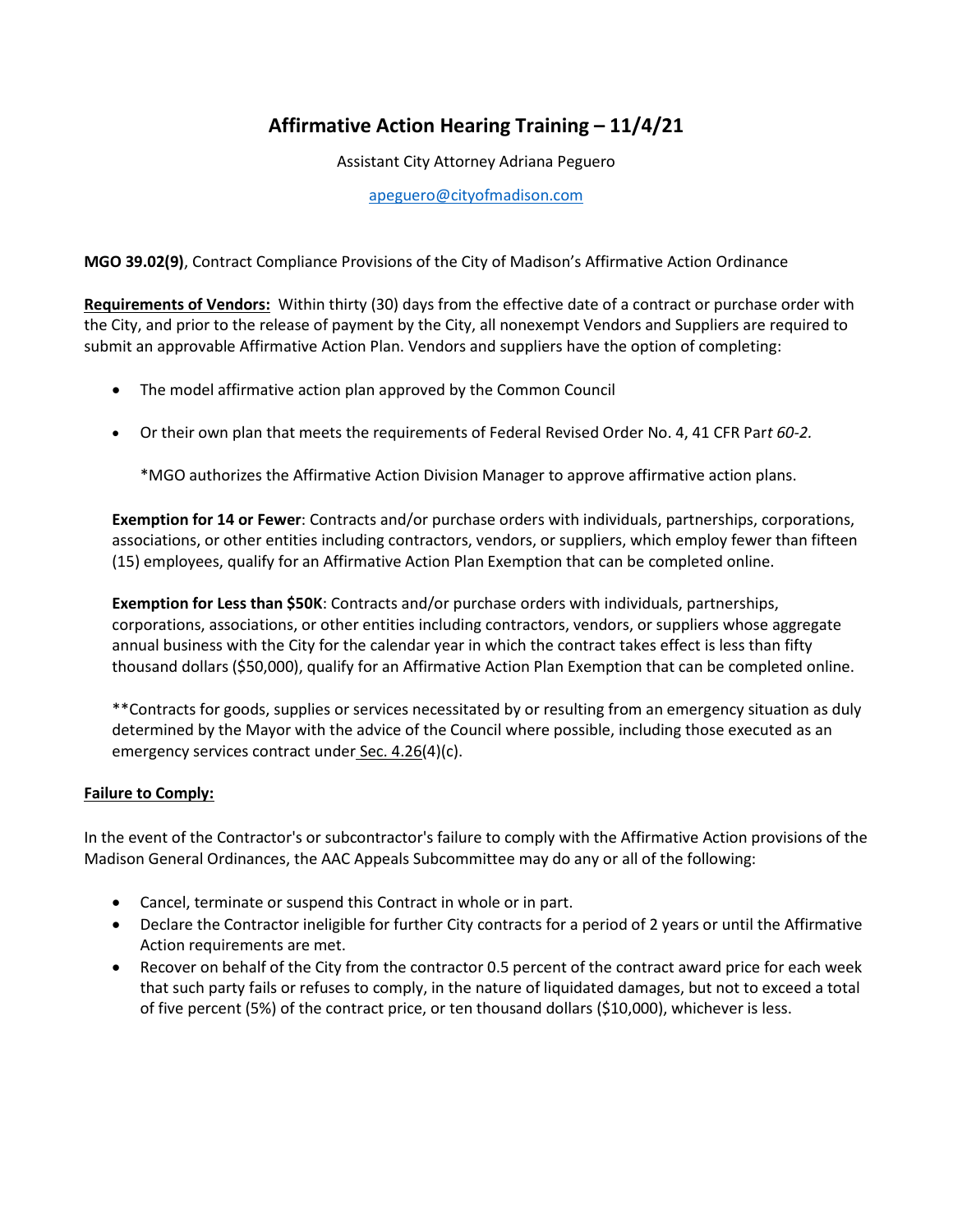# **Affirmative Action Hearing Training – 11/4/21**

Assistant City Attorney Adriana Peguero

[apeguero@cityofmadison.com](mailto:apeguero@cityofmadison.com)

**MGO 39.02(9)**, Contract Compliance Provisions of the City of Madison's Affirmative Action Ordinance

**Requirements of Vendors:** Within thirty (30) days from the effective date of a contract or purchase order with the City, and prior to the release of payment by the City, all nonexempt Vendors and Suppliers are required to submit an approvable Affirmative Action Plan. Vendors and suppliers have the option of completing:

- The model affirmative action plan approved by the Common Council
- Or their own plan that meets the requirements of Federal Revised Order No. 4, 41 CFR Par*t 60-2.*

\*MGO authorizes the Affirmative Action Division Manager to approve affirmative action plans.

**Exemption for 14 or Fewer**: Contracts and/or purchase orders with individuals, partnerships, corporations, associations, or other entities including contractors, vendors, or suppliers, which employ fewer than fifteen (15) employees, qualify for an Affirmative Action Plan Exemption that can be completed online.

**Exemption for Less than \$50K**: Contracts and/or purchase orders with individuals, partnerships, corporations, associations, or other entities including contractors, vendors, or suppliers whose aggregate annual business with the City for the calendar year in which the contract takes effect is less than fifty thousand dollars (\$50,000), qualify for an Affirmative Action Plan Exemption that can be completed online.

\*\*Contracts for goods, supplies or services necessitated by or resulting from an emergency situation as duly determined by the Mayor with the advice of the Council where possible, including those executed as an emergency services contract under [Sec. 4.26\(](https://library.municode.com/wi/madison/codes/code_of_ordinances?nodeId=COORMAWIVOICH1--10_CH4FI_4.26CIPU)4)(c).

# **Failure to Comply:**

In the event of the Contractor's or subcontractor's failure to comply with the Affirmative Action provisions of the Madison General Ordinances, the AAC Appeals Subcommittee may do any or all of the following:

- Cancel, terminate or suspend this Contract in whole or in part.
- Declare the Contractor ineligible for further City contracts for a period of 2 years or until the Affirmative Action requirements are met.
- Recover on behalf of the City from the contractor 0.5 percent of the contract award price for each week that such party fails or refuses to comply, in the nature of liquidated damages, but not to exceed a total of five percent (5%) of the contract price, or ten thousand dollars (\$10,000), whichever is less.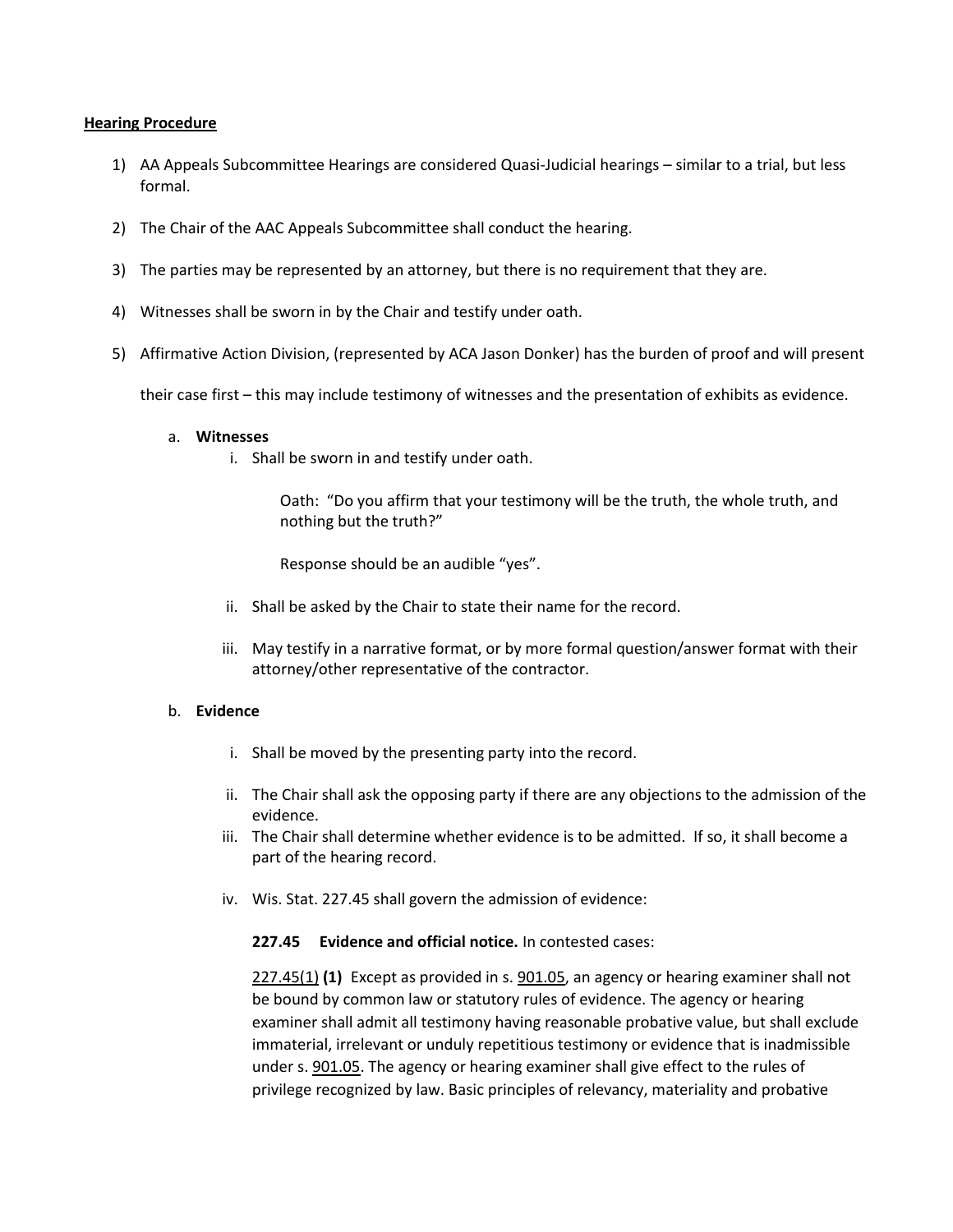#### **Hearing Procedure**

- 1) AA Appeals Subcommittee Hearings are considered Quasi-Judicial hearings similar to a trial, but less formal.
- 2) The Chair of the AAC Appeals Subcommittee shall conduct the hearing.
- 3) The parties may be represented by an attorney, but there is no requirement that they are.
- 4) Witnesses shall be sworn in by the Chair and testify under oath.
- 5) Affirmative Action Division, (represented by ACA Jason Donker) has the burden of proof and will present

their case first – this may include testimony of witnesses and the presentation of exhibits as evidence.

#### a. **Witnesses**

i. Shall be sworn in and testify under oath.

Oath: "Do you affirm that your testimony will be the truth, the whole truth, and nothing but the truth?"

Response should be an audible "yes".

- ii. Shall be asked by the Chair to state their name for the record.
- iii. May testify in a narrative format, or by more formal question/answer format with their attorney/other representative of the contractor.

## b. **Evidence**

- i. Shall be moved by the presenting party into the record.
- ii. The Chair shall ask the opposing party if there are any objections to the admission of the evidence.
- iii. The Chair shall determine whether evidence is to be admitted. If so, it shall become a part of the hearing record.
- iv. Wis. Stat. 227.45 shall govern the admission of evidence:

## **227.45 Evidence and official notice.** In contested cases:

[227.45\(1\)](https://docs.legis.wisconsin.gov/document/statutes/227.45(1)) **(1)** Except as provided in s[. 901.05,](https://docs.legis.wisconsin.gov/document/statutes/901.05) an agency or hearing examiner shall not be bound by common law or statutory rules of evidence. The agency or hearing examiner shall admit all testimony having reasonable probative value, but shall exclude immaterial, irrelevant or unduly repetitious testimony or evidence that is inadmissible under s[. 901.05.](https://docs.legis.wisconsin.gov/document/statutes/901.05) The agency or hearing examiner shall give effect to the rules of privilege recognized by law. Basic principles of relevancy, materiality and probative